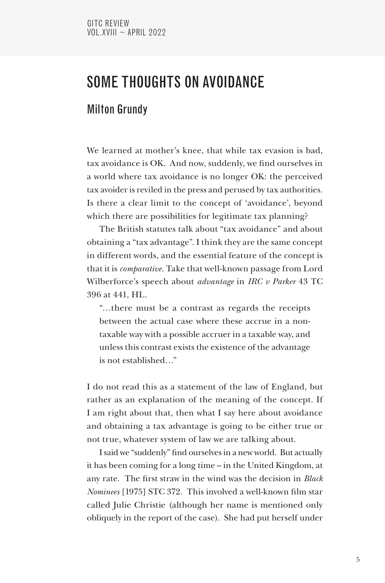# SOME THOUGHTS ON AVOIDANCE

# Milton Grundy

We learned at mother's knee, that while tax evasion is bad, tax avoidance is OK. And now, suddenly, we find ourselves in a world where tax avoidance is no longer OK: the perceived tax avoider is reviled in the press and perused by tax authorities. Is there a clear limit to the concept of 'avoidance', beyond which there are possibilities for legitimate tax planning?

The British statutes talk about "tax avoidance" and about obtaining a "tax advantage". I think they are the same concept in different words, and the essential feature of the concept is that it is *comparative*. Take that well-known passage from Lord Wilberforce's speech about *advantage* in *IRC v Parker* 43 TC 396 at 441, HL.

"…there must be a contrast as regards the receipts between the actual case where these accrue in a nontaxable way with a possible accruer in a taxable way, and unless this contrast exists the existence of the advantage is not established…"

I do not read this as a statement of the law of England, but rather as an explanation of the meaning of the concept. If I am right about that, then what I say here about avoidance and obtaining a tax advantage is going to be either true or not true, whatever system of law we are talking about.

I said we "suddenly" find ourselves in a new world. But actually it has been coming for a long time – in the United Kingdom, at any rate. The first straw in the wind was the decision in *Black Nominees* [1975] STC 372. This involved a well-known film star called Julie Christie (although her name is mentioned only obliquely in the report of the case). She had put herself under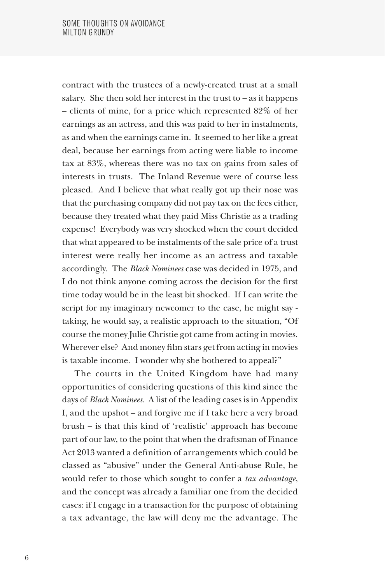contract with the trustees of a newly-created trust at a small salary. She then sold her interest in the trust to – as it happens – clients of mine, for a price which represented 82% of her earnings as an actress, and this was paid to her in instalments, as and when the earnings came in. It seemed to her like a great deal, because her earnings from acting were liable to income tax at 83%, whereas there was no tax on gains from sales of interests in trusts. The Inland Revenue were of course less pleased. And I believe that what really got up their nose was that the purchasing company did not pay tax on the fees either, because they treated what they paid Miss Christie as a trading expense! Everybody was very shocked when the court decided that what appeared to be instalments of the sale price of a trust interest were really her income as an actress and taxable accordingly. The *Black Nominees* case was decided in 1975, and I do not think anyone coming across the decision for the first time today would be in the least bit shocked. If I can write the script for my imaginary newcomer to the case, he might say taking, he would say, a realistic approach to the situation, "Of course the money Julie Christie got came from acting in movies. Wherever else? And money film stars get from acting in movies is taxable income. I wonder why she bothered to appeal?"

The courts in the United Kingdom have had many opportunities of considering questions of this kind since the days of *Black Nominees*. A list of the leading cases is in Appendix I, and the upshot – and forgive me if I take here a very broad brush – is that this kind of 'realistic' approach has become part of our law, to the point that when the draftsman of Finance Act 2013 wanted a definition of arrangements which could be classed as "abusive" under the General Anti-abuse Rule, he would refer to those which sought to confer a *tax advantage*, and the concept was already a familiar one from the decided cases: if I engage in a transaction for the purpose of obtaining a tax advantage, the law will deny me the advantage. The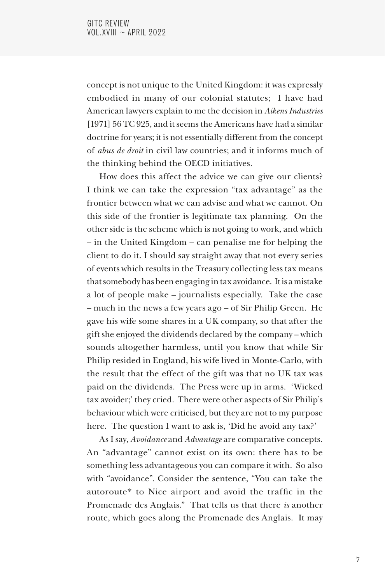concept is not unique to the United Kingdom: it was expressly embodied in many of our colonial statutes; I have had American lawyers explain to me the decision in *Aikens Industries*  [1971] 56 TC 925, and it seems the Americans have had a similar doctrine for years; it is not essentially different from the concept of *abus de droit* in civil law countries; and it informs much of the thinking behind the OECD initiatives.

How does this affect the advice we can give our clients? I think we can take the expression "tax advantage" as the frontier between what we can advise and what we cannot. On this side of the frontier is legitimate tax planning. On the other side is the scheme which is not going to work, and which – in the United Kingdom – can penalise me for helping the client to do it. I should say straight away that not every series of events which results in the Treasury collecting less tax means that somebody has been engaging in tax avoidance. It is a mistake a lot of people make – journalists especially. Take the case – much in the news a few years ago – of Sir Philip Green. He gave his wife some shares in a UK company, so that after the gift she enjoyed the dividends declared by the company – which sounds altogether harmless, until you know that while Sir Philip resided in England, his wife lived in Monte-Carlo, with the result that the effect of the gift was that no UK tax was paid on the dividends. The Press were up in arms. 'Wicked tax avoider;' they cried. There were other aspects of Sir Philip's behaviour which were criticised, but they are not to my purpose here. The question I want to ask is, 'Did he avoid any tax?'

As I say, *Avoidance* and *Advantage* are comparative concepts. An "advantage" cannot exist on its own: there has to be something less advantageous you can compare it with. So also with "avoidance". Consider the sentence, "You can take the autoroute\* to Nice airport and avoid the traffic in the Promenade des Anglais." That tells us that there *is* another route, which goes along the Promenade des Anglais. It may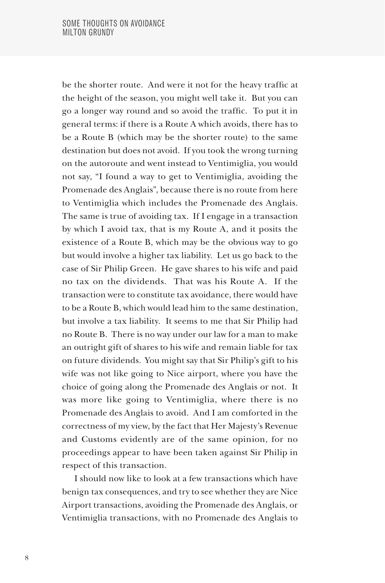be the shorter route. And were it not for the heavy traffic at the height of the season, you might well take it. But you can go a longer way round and so avoid the traffic. To put it in general terms: if there is a Route A which avoids, there has to be a Route B (which may be the shorter route) to the same destination but does not avoid. If you took the wrong turning on the autoroute and went instead to Ventimiglia, you would not say, "I found a way to get to Ventimiglia, avoiding the Promenade des Anglais", because there is no route from here to Ventimiglia which includes the Promenade des Anglais. The same is true of avoiding tax. If I engage in a transaction by which I avoid tax, that is my Route A, and it posits the existence of a Route B, which may be the obvious way to go but would involve a higher tax liability. Let us go back to the case of Sir Philip Green. He gave shares to his wife and paid no tax on the dividends. That was his Route A. If the transaction were to constitute tax avoidance, there would have to be a Route B, which would lead him to the same destination, but involve a tax liability. It seems to me that Sir Philip had no Route B. There is no way under our law for a man to make an outright gift of shares to his wife and remain liable for tax on future dividends. You might say that Sir Philip's gift to his wife was not like going to Nice airport, where you have the choice of going along the Promenade des Anglais or not. It was more like going to Ventimiglia, where there is no Promenade des Anglais to avoid. And I am comforted in the correctness of my view, by the fact that Her Majesty's Revenue and Customs evidently are of the same opinion, for no proceedings appear to have been taken against Sir Philip in respect of this transaction.

I should now like to look at a few transactions which have benign tax consequences, and try to see whether they are Nice Airport transactions, avoiding the Promenade des Anglais, or Ventimiglia transactions, with no Promenade des Anglais to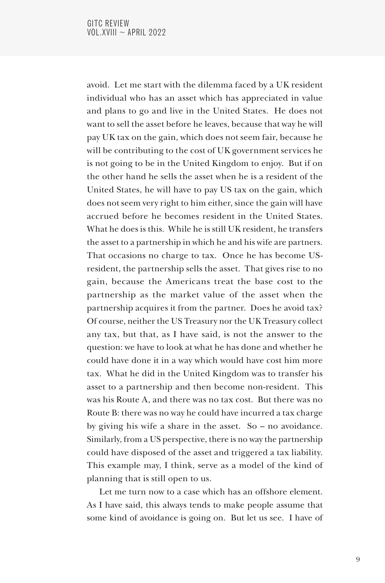avoid. Let me start with the dilemma faced by a UK resident individual who has an asset which has appreciated in value and plans to go and live in the United States. He does not want to sell the asset before he leaves, because that way he will pay UK tax on the gain, which does not seem fair, because he will be contributing to the cost of UK government services he is not going to be in the United Kingdom to enjoy. But if on the other hand he sells the asset when he is a resident of the United States, he will have to pay US tax on the gain, which does not seem very right to him either, since the gain will have accrued before he becomes resident in the United States. What he does is this. While he is still UK resident, he transfers the asset to a partnership in which he and his wife are partners. That occasions no charge to tax. Once he has become USresident, the partnership sells the asset. That gives rise to no gain, because the Americans treat the base cost to the partnership as the market value of the asset when the partnership acquires it from the partner. Does he avoid tax? Of course, neither the US Treasury nor the UK Treasury collect any tax, but that, as I have said, is not the answer to the question: we have to look at what he has done and whether he could have done it in a way which would have cost him more tax. What he did in the United Kingdom was to transfer his asset to a partnership and then become non-resident. This was his Route A, and there was no tax cost. But there was no Route B: there was no way he could have incurred a tax charge by giving his wife a share in the asset. So – no avoidance. Similarly, from a US perspective, there is no way the partnership could have disposed of the asset and triggered a tax liability. This example may, I think, serve as a model of the kind of planning that is still open to us.

Let me turn now to a case which has an offshore element. As I have said, this always tends to make people assume that some kind of avoidance is going on. But let us see. I have of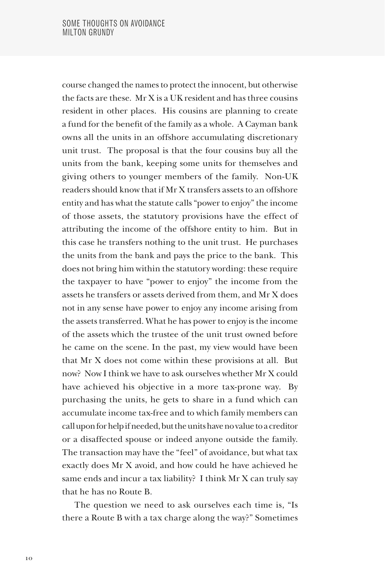course changed the names to protect the innocent, but otherwise the facts are these. Mr X is a UK resident and has three cousins resident in other places. His cousins are planning to create a fund for the benefit of the family as a whole. A Cayman bank owns all the units in an offshore accumulating discretionary unit trust. The proposal is that the four cousins buy all the units from the bank, keeping some units for themselves and giving others to younger members of the family. Non-UK readers should know that if Mr X transfers assets to an offshore entity and has what the statute calls "power to enjoy" the income of those assets, the statutory provisions have the effect of attributing the income of the offshore entity to him. But in this case he transfers nothing to the unit trust. He purchases the units from the bank and pays the price to the bank. This does not bring him within the statutory wording: these require the taxpayer to have "power to enjoy" the income from the assets he transfers or assets derived from them, and Mr X does not in any sense have power to enjoy any income arising from the assets transferred. What he has power to enjoy is the income of the assets which the trustee of the unit trust owned before he came on the scene. In the past, my view would have been that Mr X does not come within these provisions at all. But now? Now I think we have to ask ourselves whether Mr X could have achieved his objective in a more tax-prone way. By purchasing the units, he gets to share in a fund which can accumulate income tax-free and to which family members can call upon for help if needed, but the units have no value to a creditor or a disaffected spouse or indeed anyone outside the family. The transaction may have the "feel" of avoidance, but what tax exactly does Mr X avoid, and how could he have achieved he same ends and incur a tax liability? I think Mr X can truly say that he has no Route B.

The question we need to ask ourselves each time is, "Is there a Route B with a tax charge along the way?" Sometimes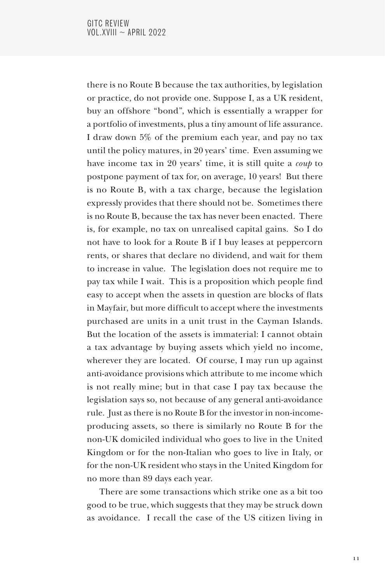there is no Route B because the tax authorities, by legislation or practice, do not provide one. Suppose I, as a UK resident, buy an offshore "bond", which is essentially a wrapper for a portfolio of investments, plus a tiny amount of life assurance. I draw down 5% of the premium each year, and pay no tax until the policy matures, in 20 years' time. Even assuming we have income tax in 20 years' time, it is still quite a *coup* to postpone payment of tax for, on average, 10 years! But there is no Route B, with a tax charge, because the legislation expressly provides that there should not be. Sometimes there is no Route B, because the tax has never been enacted. There is, for example, no tax on unrealised capital gains. So I do not have to look for a Route B if I buy leases at peppercorn rents, or shares that declare no dividend, and wait for them to increase in value. The legislation does not require me to pay tax while I wait. This is a proposition which people find easy to accept when the assets in question are blocks of flats in Mayfair, but more difficult to accept where the investments purchased are units in a unit trust in the Cayman Islands. But the location of the assets is immaterial: I cannot obtain a tax advantage by buying assets which yield no income, wherever they are located. Of course, I may run up against anti-avoidance provisions which attribute to me income which is not really mine; but in that case I pay tax because the legislation says so, not because of any general anti-avoidance rule. Just as there is no Route B for the investor in non-incomeproducing assets, so there is similarly no Route B for the non-UK domiciled individual who goes to live in the United Kingdom or for the non-Italian who goes to live in Italy, or for the non-UK resident who stays in the United Kingdom for no more than 89 days each year.

There are some transactions which strike one as a bit too good to be true, which suggests that they may be struck down as avoidance. I recall the case of the US citizen living in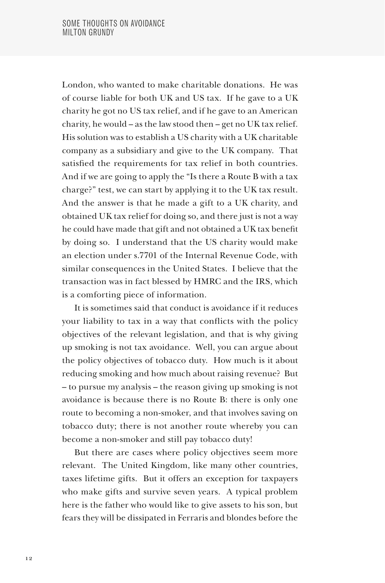London, who wanted to make charitable donations. He was of course liable for both UK and US tax. If he gave to a UK charity he got no US tax relief, and if he gave to an American charity, he would – as the law stood then – get no UK tax relief. His solution was to establish a US charity with a UK charitable company as a subsidiary and give to the UK company. That satisfied the requirements for tax relief in both countries. And if we are going to apply the "Is there a Route B with a tax charge?" test, we can start by applying it to the UK tax result. And the answer is that he made a gift to a UK charity, and obtained UK tax relief for doing so, and there just is not a way he could have made that gift and not obtained a UK tax benefit by doing so. I understand that the US charity would make an election under s.7701 of the Internal Revenue Code, with similar consequences in the United States. I believe that the transaction was in fact blessed by HMRC and the IRS, which is a comforting piece of information.

It is sometimes said that conduct is avoidance if it reduces your liability to tax in a way that conflicts with the policy objectives of the relevant legislation, and that is why giving up smoking is not tax avoidance. Well, you can argue about the policy objectives of tobacco duty. How much is it about reducing smoking and how much about raising revenue? But – to pursue my analysis – the reason giving up smoking is not avoidance is because there is no Route B: there is only one route to becoming a non-smoker, and that involves saving on tobacco duty; there is not another route whereby you can become a non-smoker and still pay tobacco duty!

But there are cases where policy objectives seem more relevant. The United Kingdom, like many other countries, taxes lifetime gifts. But it offers an exception for taxpayers who make gifts and survive seven years. A typical problem here is the father who would like to give assets to his son, but fears they will be dissipated in Ferraris and blondes before the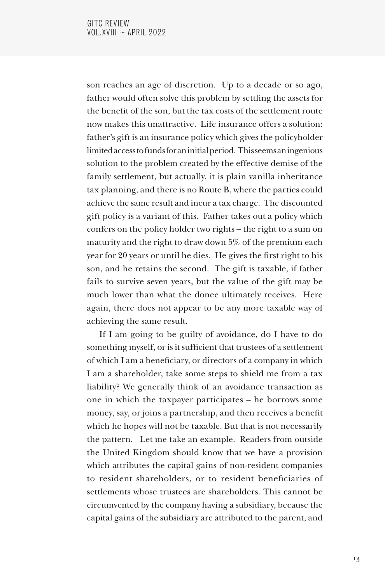son reaches an age of discretion. Up to a decade or so ago, father would often solve this problem by settling the assets for the benefit of the son, but the tax costs of the settlement route now makes this unattractive. Life insurance offers a solution: father's gift is an insurance policy which gives the policyholder limited access to funds for an initial period. This seems an ingenious solution to the problem created by the effective demise of the family settlement, but actually, it is plain vanilla inheritance tax planning, and there is no Route B, where the parties could achieve the same result and incur a tax charge. The discounted gift policy is a variant of this. Father takes out a policy which confers on the policy holder two rights – the right to a sum on maturity and the right to draw down 5% of the premium each year for 20 years or until he dies. He gives the first right to his son, and he retains the second. The gift is taxable, if father fails to survive seven years, but the value of the gift may be much lower than what the donee ultimately receives. Here again, there does not appear to be any more taxable way of achieving the same result.

If I am going to be guilty of avoidance, do I have to do something myself, or is it sufficient that trustees of a settlement of which I am a beneficiary, or directors of a company in which I am a shareholder, take some steps to shield me from a tax liability? We generally think of an avoidance transaction as one in which the taxpayer participates – he borrows some money, say, or joins a partnership, and then receives a benefit which he hopes will not be taxable. But that is not necessarily the pattern. Let me take an example. Readers from outside the United Kingdom should know that we have a provision which attributes the capital gains of non-resident companies to resident shareholders, or to resident beneficiaries of settlements whose trustees are shareholders. This cannot be circumvented by the company having a subsidiary, because the capital gains of the subsidiary are attributed to the parent, and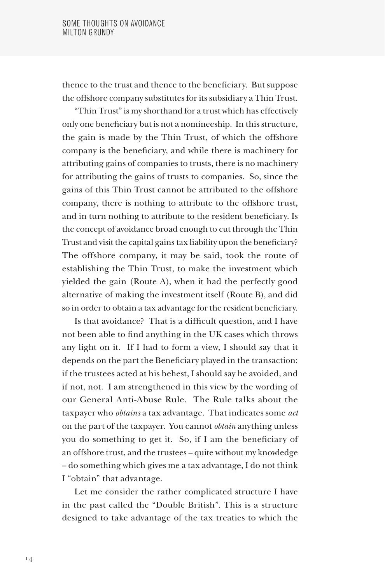thence to the trust and thence to the beneficiary. But suppose the offshore company substitutes for its subsidiary a Thin Trust.

"Thin Trust" is my shorthand for a trust which has effectively only one beneficiary but is not a nomineeship. In this structure, the gain is made by the Thin Trust, of which the offshore company is the beneficiary, and while there is machinery for attributing gains of companies to trusts, there is no machinery for attributing the gains of trusts to companies. So, since the gains of this Thin Trust cannot be attributed to the offshore company, there is nothing to attribute to the offshore trust, and in turn nothing to attribute to the resident beneficiary. Is the concept of avoidance broad enough to cut through the Thin Trust and visit the capital gains tax liability upon the beneficiary? The offshore company, it may be said, took the route of establishing the Thin Trust, to make the investment which yielded the gain (Route A), when it had the perfectly good alternative of making the investment itself (Route B), and did so in order to obtain a tax advantage for the resident beneficiary.

Is that avoidance? That is a difficult question, and I have not been able to find anything in the UK cases which throws any light on it. If I had to form a view, I should say that it depends on the part the Beneficiary played in the transaction: if the trustees acted at his behest, I should say he avoided, and if not, not. I am strengthened in this view by the wording of our General Anti-Abuse Rule. The Rule talks about the taxpayer who *obtains* a tax advantage. That indicates some *act* on the part of the taxpayer. You cannot *obtain* anything unless you do something to get it. So, if I am the beneficiary of an offshore trust, and the trustees – quite without my knowledge – do something which gives me a tax advantage, I do not think I "obtain" that advantage.

Let me consider the rather complicated structure I have in the past called the "Double British". This is a structure designed to take advantage of the tax treaties to which the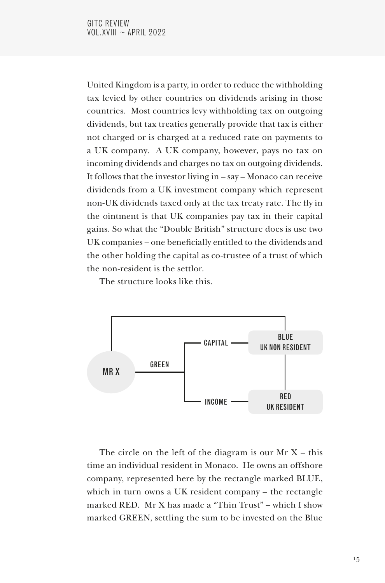United Kingdom is a party, in order to reduce the withholding tax levied by other countries on dividends arising in those countries. Most countries levy withholding tax on outgoing dividends, but tax treaties generally provide that tax is either not charged or is charged at a reduced rate on payments to a UK company. A UK company, however, pays no tax on incoming dividends and charges no tax on outgoing dividends. It follows that the investor living in – say – Monaco can receive dividends from a UK investment company which represent non-UK dividends taxed only at the tax treaty rate. The fly in the ointment is that UK companies pay tax in their capital gains. So what the "Double British" structure does is use two UK companies – one beneficially entitled to the dividends and the other holding the capital as co-trustee of a trust of which the non-resident is the settlor.

The structure looks like this.



The circle on the left of the diagram is our  $Mr X - this$ time an individual resident in Monaco. He owns an offshore company, represented here by the rectangle marked BLUE, which in turn owns a UK resident company – the rectangle marked RED. Mr X has made a "Thin Trust" – which I show marked GREEN, settling the sum to be invested on the Blue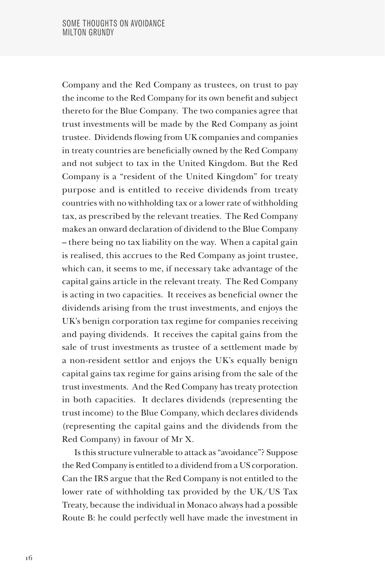Company and the Red Company as trustees, on trust to pay the income to the Red Company for its own benefit and subject thereto for the Blue Company. The two companies agree that trust investments will be made by the Red Company as joint trustee. Dividends flowing from UK companies and companies in treaty countries are beneficially owned by the Red Company and not subject to tax in the United Kingdom. But the Red Company is a "resident of the United Kingdom" for treaty purpose and is entitled to receive dividends from treaty countries with no withholding tax or a lower rate of withholding tax, as prescribed by the relevant treaties. The Red Company makes an onward declaration of dividend to the Blue Company – there being no tax liability on the way. When a capital gain is realised, this accrues to the Red Company as joint trustee, which can, it seems to me, if necessary take advantage of the capital gains article in the relevant treaty. The Red Company is acting in two capacities. It receives as beneficial owner the dividends arising from the trust investments, and enjoys the UK's benign corporation tax regime for companies receiving and paying dividends. It receives the capital gains from the sale of trust investments as trustee of a settlement made by a non-resident settlor and enjoys the UK's equally benign capital gains tax regime for gains arising from the sale of the trust investments. And the Red Company has treaty protection in both capacities. It declares dividends (representing the trust income) to the Blue Company, which declares dividends (representing the capital gains and the dividends from the Red Company) in favour of Mr X.

Is this structure vulnerable to attack as "avoidance"? Suppose the Red Company is entitled to a dividend from a US corporation. Can the IRS argue that the Red Company is not entitled to the lower rate of withholding tax provided by the UK/US Tax Treaty, because the individual in Monaco always had a possible Route B: he could perfectly well have made the investment in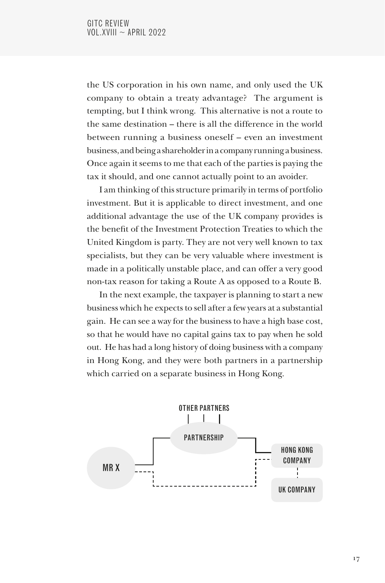the US corporation in his own name, and only used the UK company to obtain a treaty advantage? The argument is tempting, but I think wrong. This alternative is not a route to the same destination – there is all the difference in the world between running a business oneself – even an investment business, and being a shareholder in a company running a business. Once again it seems to me that each of the parties is paying the tax it should, and one cannot actually point to an avoider.

I am thinking of this structure primarily in terms of portfolio investment. But it is applicable to direct investment, and one additional advantage the use of the UK company provides is the benefit of the Investment Protection Treaties to which the United Kingdom is party. They are not very well known to tax specialists, but they can be very valuable where investment is made in a politically unstable place, and can offer a very good non-tax reason for taking a Route A as opposed to a Route B.

In the next example, the taxpayer is planning to start a new business which he expects to sell after a few years at a substantial gain. He can see a way for the business to have a high base cost, so that he would have no capital gains tax to pay when he sold out. He has had a long history of doing business with a company in Hong Kong, and they were both partners in a partnership which carried on a separate business in Hong Kong.

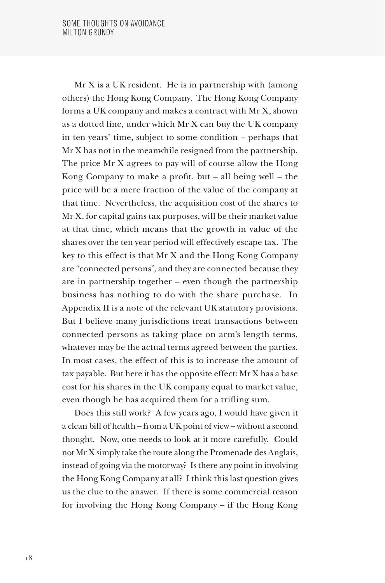Mr X is a UK resident. He is in partnership with (among others) the Hong Kong Company. The Hong Kong Company forms a UK company and makes a contract with Mr X, shown as a dotted line, under which Mr X can buy the UK company in ten years' time, subject to some condition – perhaps that Mr X has not in the meanwhile resigned from the partnership. The price Mr X agrees to pay will of course allow the Hong Kong Company to make a profit, but – all being well – the price will be a mere fraction of the value of the company at that time. Nevertheless, the acquisition cost of the shares to Mr X, for capital gains tax purposes, will be their market value at that time, which means that the growth in value of the shares over the ten year period will effectively escape tax. The key to this effect is that Mr X and the Hong Kong Company are "connected persons", and they are connected because they are in partnership together – even though the partnership business has nothing to do with the share purchase. In Appendix II is a note of the relevant UK statutory provisions. But I believe many jurisdictions treat transactions between connected persons as taking place on arm's length terms, whatever may be the actual terms agreed between the parties. In most cases, the effect of this is to increase the amount of tax payable. But here it has the opposite effect: Mr X has a base cost for his shares in the UK company equal to market value, even though he has acquired them for a trifling sum.

Does this still work? A few years ago, I would have given it a clean bill of health – from a UK point of view – without a second thought. Now, one needs to look at it more carefully. Could not Mr X simply take the route along the Promenade des Anglais, instead of going via the motorway? Is there any point in involving the Hong Kong Company at all? I think this last question gives us the clue to the answer. If there is some commercial reason for involving the Hong Kong Company – if the Hong Kong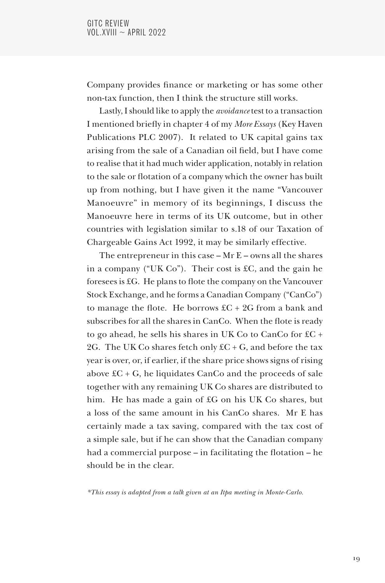Company provides finance or marketing or has some other non-tax function, then I think the structure still works.

Lastly, I should like to apply the *avoidance* test to a transaction I mentioned briefly in chapter 4 of my *More Essays* (Key Haven Publications PLC 2007). It related to UK capital gains tax arising from the sale of a Canadian oil field, but I have come to realise that it had much wider application, notably in relation to the sale or flotation of a company which the owner has built up from nothing, but I have given it the name "Vancouver Manoeuvre" in memory of its beginnings, I discuss the Manoeuvre here in terms of its UK outcome, but in other countries with legislation similar to s.18 of our Taxation of Chargeable Gains Act 1992, it may be similarly effective.

The entrepreneur in this case  $-Mr E$  – owns all the shares in a company ("UK Co"). Their cost is £C, and the gain he foresees is £G. He plans to flote the company on the Vancouver Stock Exchange, and he forms a Canadian Company ("CanCo") to manage the flote. He borrows  $\text{\rm EC} + 2\text{\rm G}$  from a bank and subscribes for all the shares in CanCo. When the flote is ready to go ahead, he sells his shares in UK Co to CanCo for £C + 2G. The UK Co shares fetch only  $\pounds C + G$ , and before the tax year is over, or, if earlier, if the share price shows signs of rising above  $\pounds C + G$ , he liquidates CanCo and the proceeds of sale together with any remaining UK Co shares are distributed to him. He has made a gain of £G on his UK Co shares, but a loss of the same amount in his CanCo shares. Mr E has certainly made a tax saving, compared with the tax cost of a simple sale, but if he can show that the Canadian company had a commercial purpose – in facilitating the flotation – he should be in the clear.

*\*This essay is adapted from a talk given at an Itpa meeting in Monte-Carlo.*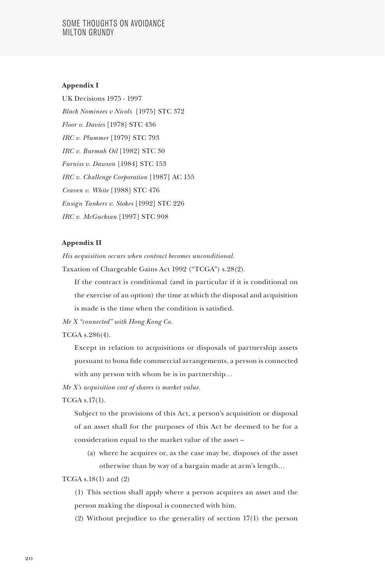## SOME THOUGHTS ON AVOIDANCE MILTON GRUNDY

### **Appendix I**

UK Decisions 1975 - 1997 *Black Nominees v Nicols* [1975] STC 372 *Floor v. Davies* [1978] STC 436 *IRC v. Plummer* [1979] STC 793 *IRC v. Burmah Oil* [1982] STC 30 *Furniss v. Dawson* [1984] STC 153 *IRC v. Challenge Corporation* [1987] AC 155 *Craven v. White* [1988] STC 476 *Ensign Tankers v. Stokes* [1992] STC 226 *IRC v. McGuckian* [1997] STC 908

#### **Appendix II**

*His acquisition occurs when contract becomes unconditional.*

Taxation of Chargeable Gains Act 1992 ("TCGA") s.28(2).

If the contract is conditional (and in particular if it is conditional on the exercise of an option) the time at which the disposal and acquisition is made is the time when the condition is satisfied.

*Mr X "connected" with Hong Kong Co.*

TCGA s.286(4).

Except in relation to acquisitions or disposals of partnership assets pursuant to bona fide commercial arrangements, a person is connected with any person with whom he is in partnership…

*Mr X's acquisition cost of shares is market value.*

TCGA s.17(1).

Subject to the provisions of this Act, a person's acquisition or disposal of an asset shall for the purposes of this Act be deemed to be for a consideration equal to the market value of the asset –

(a) where he acquires or, as the case may be, disposes of the asset otherwise than by way of a bargain made at arm's length…

TCGA s.18(1) and (2)

(1) This section shall apply where a person acquires an asset and the person making the disposal is connected with him.

(2) Without prejudice to the generality of section 17(1) the person